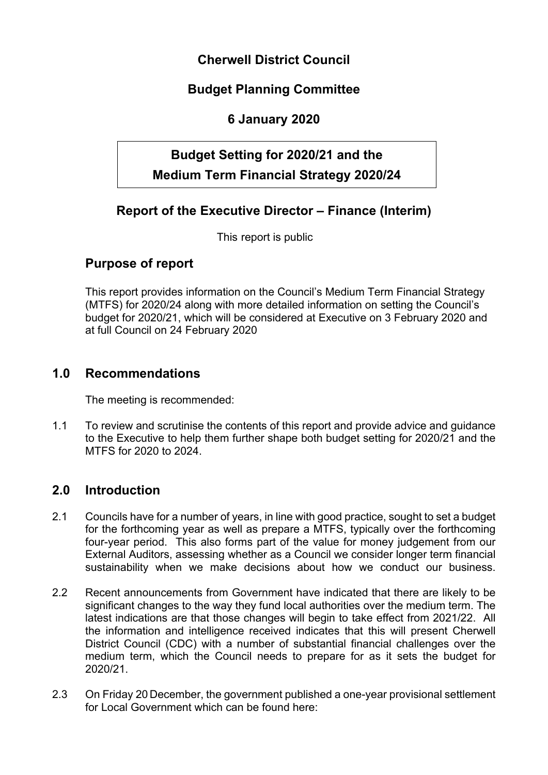# **Cherwell District Council**

# **Budget Planning Committee**

## **6 January 2020**

# **Budget Setting for 2020/21 and the Medium Term Financial Strategy 2020/24**

# **Report of the Executive Director – Finance (Interim)**

This report is public

### **Purpose of report**

This report provides information on the Council's Medium Term Financial Strategy (MTFS) for 2020/24 along with more detailed information on setting the Council's budget for 2020/21, which will be considered at Executive on 3 February 2020 and at full Council on 24 February 2020

### **1.0 Recommendations**

The meeting is recommended:

1.1 To review and scrutinise the contents of this report and provide advice and guidance to the Executive to help them further shape both budget setting for 2020/21 and the MTFS for 2020 to 2024.

### **2.0 Introduction**

- 2.1 Councils have for a number of years, in line with good practice, sought to set a budget for the forthcoming year as well as prepare a MTFS, typically over the forthcoming four-year period. This also forms part of the value for money judgement from our External Auditors, assessing whether as a Council we consider longer term financial sustainability when we make decisions about how we conduct our business.
- 2.2 Recent announcements from Government have indicated that there are likely to be significant changes to the way they fund local authorities over the medium term. The latest indications are that those changes will begin to take effect from 2021/22. All the information and intelligence received indicates that this will present Cherwell District Council (CDC) with a number of substantial financial challenges over the medium term, which the Council needs to prepare for as it sets the budget for 2020/21.
- 2.3 On Friday 20 December, the government published a one-year provisional settlement for Local Government which can be found here: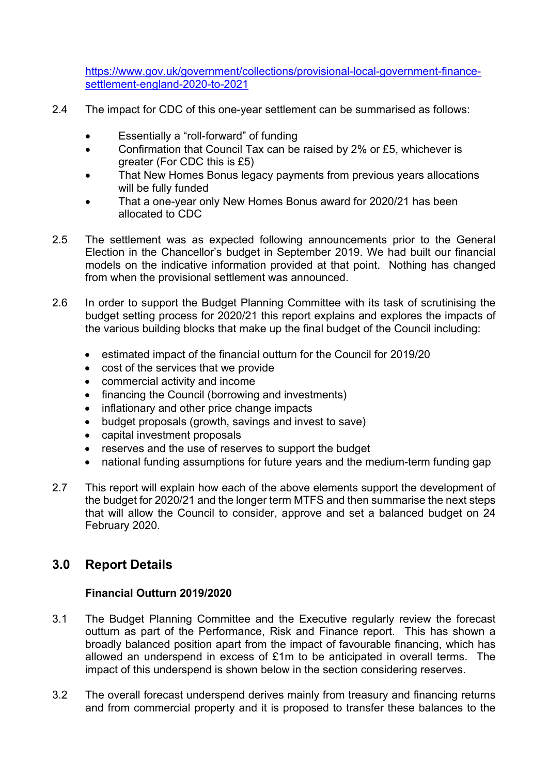[https://www.gov.uk/government/collections/provisional-local-government-finance](https://www.gov.uk/government/collections/provisional-local-government-finance-settlement-england-2020-to-2021)[settlement-england-2020-to-2021](https://www.gov.uk/government/collections/provisional-local-government-finance-settlement-england-2020-to-2021)

- 2.4 The impact for CDC of this one-year settlement can be summarised as follows:
	- Essentially a "roll-forward" of funding
	- Confirmation that Council Tax can be raised by 2% or £5, whichever is greater (For CDC this is £5)
	- That New Homes Bonus legacy payments from previous years allocations will be fully funded
	- That a one-year only New Homes Bonus award for 2020/21 has been allocated to CDC
- 2.5 The settlement was as expected following announcements prior to the General Election in the Chancellor's budget in September 2019. We had built our financial models on the indicative information provided at that point. Nothing has changed from when the provisional settlement was announced.
- 2.6 In order to support the Budget Planning Committee with its task of scrutinising the budget setting process for 2020/21 this report explains and explores the impacts of the various building blocks that make up the final budget of the Council including:
	- estimated impact of the financial outturn for the Council for 2019/20
	- cost of the services that we provide
	- commercial activity and income
	- financing the Council (borrowing and investments)
	- inflationary and other price change impacts
	- budget proposals (growth, savings and invest to save)
	- capital investment proposals
	- reserves and the use of reserves to support the budget
	- national funding assumptions for future years and the medium-term funding gap
- 2.7 This report will explain how each of the above elements support the development of the budget for 2020/21 and the longer term MTFS and then summarise the next steps that will allow the Council to consider, approve and set a balanced budget on 24 February 2020.

### **3.0 Report Details**

### **Financial Outturn 2019/2020**

- 3.1 The Budget Planning Committee and the Executive regularly review the forecast outturn as part of the Performance, Risk and Finance report. This has shown a broadly balanced position apart from the impact of favourable financing, which has allowed an underspend in excess of £1m to be anticipated in overall terms. The impact of this underspend is shown below in the section considering reserves.
- 3.2 The overall forecast underspend derives mainly from treasury and financing returns and from commercial property and it is proposed to transfer these balances to the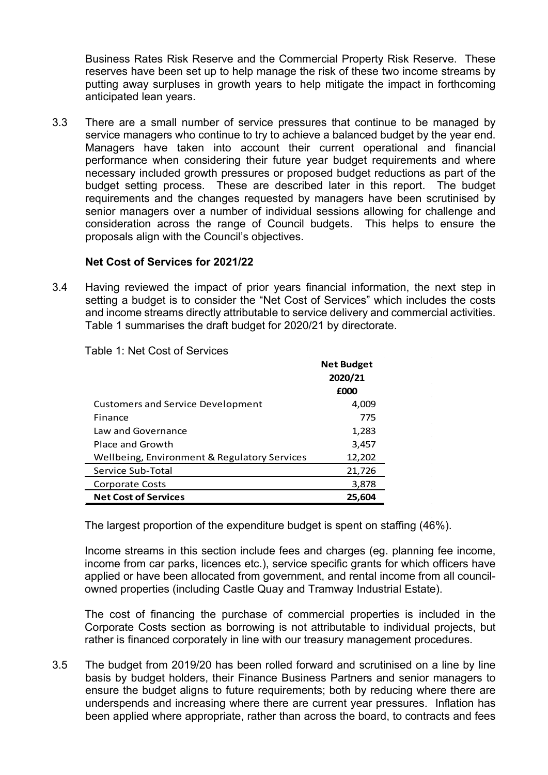Business Rates Risk Reserve and the Commercial Property Risk Reserve. These reserves have been set up to help manage the risk of these two income streams by putting away surpluses in growth years to help mitigate the impact in forthcoming anticipated lean years.

3.3 There are a small number of service pressures that continue to be managed by service managers who continue to try to achieve a balanced budget by the year end. Managers have taken into account their current operational and financial performance when considering their future year budget requirements and where necessary included growth pressures or proposed budget reductions as part of the budget setting process. These are described later in this report. The budget requirements and the changes requested by managers have been scrutinised by senior managers over a number of individual sessions allowing for challenge and consideration across the range of Council budgets. This helps to ensure the proposals align with the Council's objectives.

#### **Net Cost of Services for 2021/22**

3.4 Having reviewed the impact of prior years financial information, the next step in setting a budget is to consider the "Net Cost of Services" which includes the costs and income streams directly attributable to service delivery and commercial activities. Table 1 summarises the draft budget for 2020/21 by directorate.

|                                              | <b>Net Budget</b><br>2020/21 |
|----------------------------------------------|------------------------------|
|                                              | £000                         |
| <b>Customers and Service Development</b>     | 4,009                        |
| Finance                                      | 775                          |
| Law and Governance                           | 1,283                        |
| Place and Growth                             | 3,457                        |
| Wellbeing, Environment & Regulatory Services | 12,202                       |
| Service Sub-Total                            | 21,726                       |
| Corporate Costs                              | 3,878                        |
| <b>Net Cost of Services</b>                  | 25,604                       |

Table 1: Net Cost of Services

The largest proportion of the expenditure budget is spent on staffing (46%).

Income streams in this section include fees and charges (eg. planning fee income, income from car parks, licences etc.), service specific grants for which officers have applied or have been allocated from government, and rental income from all councilowned properties (including Castle Quay and Tramway Industrial Estate).

 $\bar{z}$ 

The cost of financing the purchase of commercial properties is included in the Corporate Costs section as borrowing is not attributable to individual projects, but rather is financed corporately in line with our treasury management procedures.

3.5 The budget from 2019/20 has been rolled forward and scrutinised on a line by line basis by budget holders, their Finance Business Partners and senior managers to ensure the budget aligns to future requirements; both by reducing where there are underspends and increasing where there are current year pressures. Inflation has been applied where appropriate, rather than across the board, to contracts and fees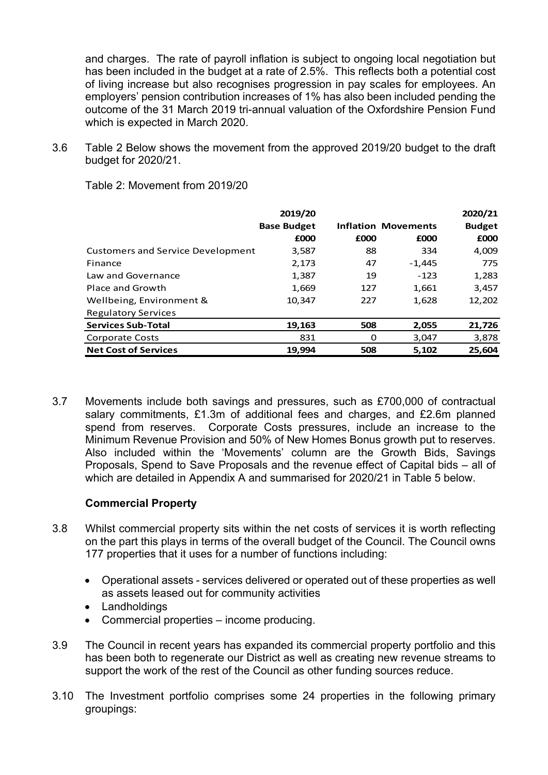and charges. The rate of payroll inflation is subject to ongoing local negotiation but has been included in the budget at a rate of 2.5%. This reflects both a potential cost of living increase but also recognises progression in pay scales for employees. An employers' pension contribution increases of 1% has also been included pending the outcome of the 31 March 2019 tri-annual valuation of the Oxfordshire Pension Fund which is expected in March 2020.

3.6 Table 2 Below shows the movement from the approved 2019/20 budget to the draft budget for 2020/21.

|                                          | 2019/20            |      |                            | 2020/21       |
|------------------------------------------|--------------------|------|----------------------------|---------------|
|                                          | <b>Base Budget</b> |      | <b>Inflation Movements</b> | <b>Budget</b> |
|                                          | £000               | £000 | £000                       | £000          |
| <b>Customers and Service Development</b> | 3,587              | 88   | 334                        | 4,009         |
| Finance                                  | 2,173              | 47   | $-1,445$                   | 775           |
| Law and Governance                       | 1,387              | 19   | $-123$                     | 1,283         |
| Place and Growth                         | 1,669              | 127  | 1,661                      | 3,457         |
| Wellbeing, Environment &                 | 10,347             | 227  | 1,628                      | 12,202        |
| <b>Regulatory Services</b>               |                    |      |                            |               |
| <b>Services Sub-Total</b>                | 19,163             | 508  | 2,055                      | 21,726        |
| <b>Corporate Costs</b>                   | 831                | 0    | 3,047                      | 3,878         |
| <b>Net Cost of Services</b>              | 19.994             | 508  | 5.102                      | 25,604        |

Table 2: Movement from 2019/20

3.7 Movements include both savings and pressures, such as £700,000 of contractual salary commitments, £1.3m of additional fees and charges, and £2.6m planned spend from reserves. Corporate Costs pressures, include an increase to the Minimum Revenue Provision and 50% of New Homes Bonus growth put to reserves. Also included within the 'Movements' column are the Growth Bids, Savings Proposals, Spend to Save Proposals and the revenue effect of Capital bids – all of which are detailed in Appendix A and summarised for 2020/21 in Table 5 below.

#### **Commercial Property**

- 3.8 Whilst commercial property sits within the net costs of services it is worth reflecting on the part this plays in terms of the overall budget of the Council. The Council owns 177 properties that it uses for a number of functions including:
	- Operational assets services delivered or operated out of these properties as well as assets leased out for community activities
	- Landholdings
	- Commercial properties income producing.
- 3.9 The Council in recent years has expanded its commercial property portfolio and this has been both to regenerate our District as well as creating new revenue streams to support the work of the rest of the Council as other funding sources reduce.
- 3.10 The Investment portfolio comprises some 24 properties in the following primary groupings: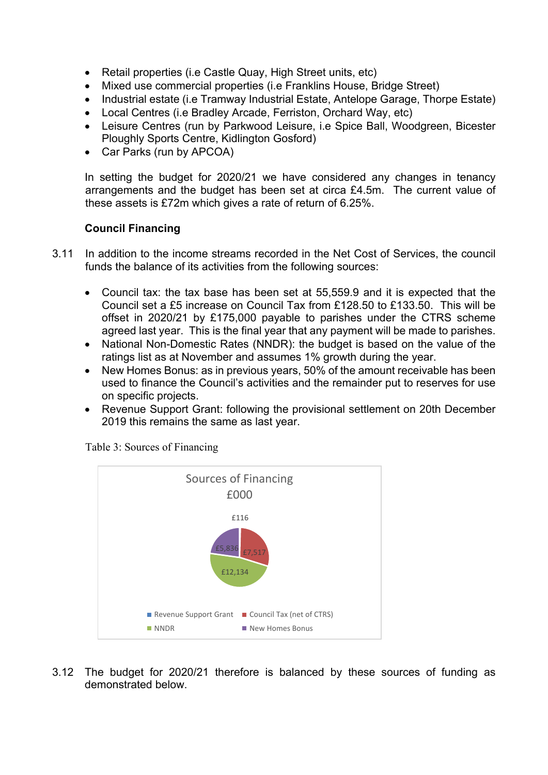- Retail properties (i.e Castle Quay, High Street units, etc)
- Mixed use commercial properties (i.e Franklins House, Bridge Street)
- Industrial estate (i.e Tramway Industrial Estate, Antelope Garage, Thorpe Estate)
- Local Centres (i.e Bradley Arcade, Ferriston, Orchard Way, etc)
- Leisure Centres (run by Parkwood Leisure, i.e Spice Ball, Woodgreen, Bicester Ploughly Sports Centre, Kidlington Gosford)
- Car Parks (run by APCOA)

In setting the budget for 2020/21 we have considered any changes in tenancy arrangements and the budget has been set at circa £4.5m. The current value of these assets is £72m which gives a rate of return of 6.25%.

#### **Council Financing**

- 3.11 In addition to the income streams recorded in the Net Cost of Services, the council funds the balance of its activities from the following sources:
	- Council tax: the tax base has been set at 55,559.9 and it is expected that the Council set a £5 increase on Council Tax from £128.50 to £133.50. This will be offset in 2020/21 by £175,000 payable to parishes under the CTRS scheme agreed last year. This is the final year that any payment will be made to parishes.
	- National Non-Domestic Rates (NNDR): the budget is based on the value of the ratings list as at November and assumes 1% growth during the year.
	- New Homes Bonus: as in previous years, 50% of the amount receivable has been used to finance the Council's activities and the remainder put to reserves for use on specific projects.
	- Revenue Support Grant: following the provisional settlement on 20th December 2019 this remains the same as last year.



Table 3: Sources of Financing

3.12 The budget for 2020/21 therefore is balanced by these sources of funding as demonstrated below.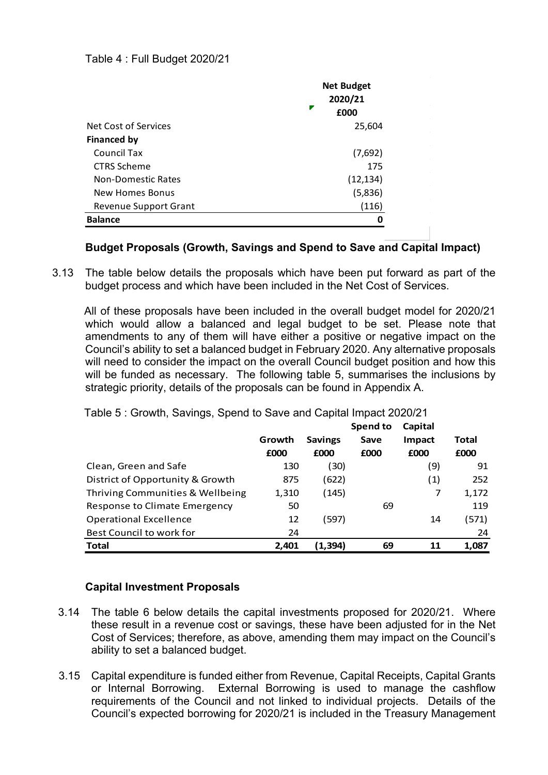#### Table 4 : Full Budget 2020/21

|                              | <b>Net Budget</b><br>2020/21<br>£000 |
|------------------------------|--------------------------------------|
| Net Cost of Services         | 25,604                               |
| <b>Financed by</b>           |                                      |
| Council Tax                  | (7,692)                              |
| <b>CTRS Scheme</b>           | 175                                  |
| <b>Non-Domestic Rates</b>    | (12, 134)                            |
| New Homes Bonus              | (5,836)                              |
| <b>Revenue Support Grant</b> | (116)                                |
| <b>Balance</b>               |                                      |

#### **Budget Proposals (Growth, Savings and Spend to Save and Capital Impact)**

3.13 The table below details the proposals which have been put forward as part of the budget process and which have been included in the Net Cost of Services.

All of these proposals have been included in the overall budget model for 2020/21 which would allow a balanced and legal budget to be set. Please note that amendments to any of them will have either a positive or negative impact on the Council's ability to set a balanced budget in February 2020. Any alternative proposals will need to consider the impact on the overall Council budget position and how this will be funded as necessary. The following table 5, summarises the inclusions by strategic priority, details of the proposals can be found in Appendix A.

|                                  | Growth<br>£000 | <b>Savings</b><br>£000 | Spend to<br>Save<br>£000 | Capital<br>Impact<br>£000 | Total<br>£000 |
|----------------------------------|----------------|------------------------|--------------------------|---------------------------|---------------|
| Clean, Green and Safe            | 130            | (30)                   |                          | (9)                       | 91            |
| District of Opportunity & Growth | 875            | (622)                  |                          | (1)                       | 252           |
| Thriving Communities & Wellbeing | 1,310          | (145)                  |                          |                           | 1,172         |
| Response to Climate Emergency    | 50             |                        | 69                       |                           | 119           |
| <b>Operational Excellence</b>    | 12             | (597)                  |                          | 14                        | (571)         |
| Best Council to work for         | 24             |                        |                          |                           | 24            |
| <b>Total</b>                     | 2.401          | (1.394)                | 69                       | 11                        | 1,087         |

Table 5 : Growth, Savings, Spend to Save and Capital Impact 2020/21

#### **Capital Investment Proposals**

- 3.14 The table 6 below details the capital investments proposed for 2020/21. Where these result in a revenue cost or savings, these have been adjusted for in the Net Cost of Services; therefore, as above, amending them may impact on the Council's ability to set a balanced budget.
- 3.15 Capital expenditure is funded either from Revenue, Capital Receipts, Capital Grants or Internal Borrowing. External Borrowing is used to manage the cashflow requirements of the Council and not linked to individual projects. Details of the Council's expected borrowing for 2020/21 is included in the Treasury Management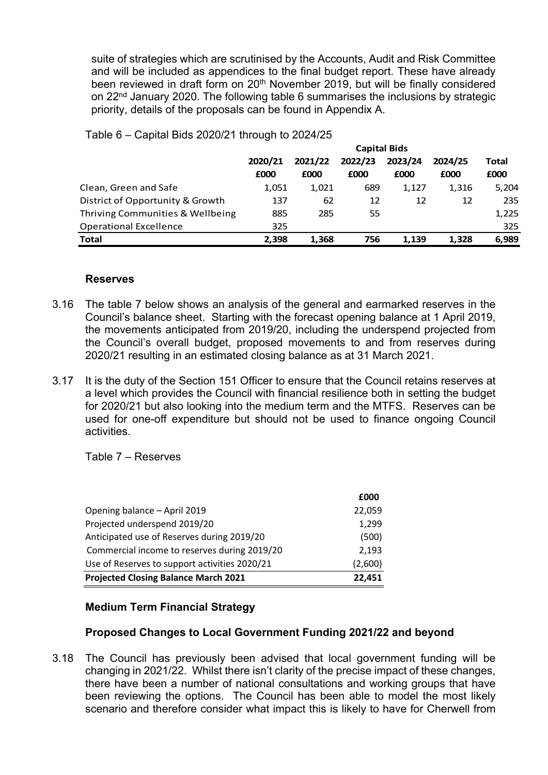suite of strategies which are scrutinised by the Accounts, Audit and Risk Committee and will be included as appendices to the final budget report. These have already been reviewed in draft form on 20<sup>th</sup> November 2019, but will be finally considered on 22<sup>nd</sup> January 2020. The following table 6 summarises the inclusions by strategic priority, details of the proposals can be found in Appendix A.

|                                  | <b>Capital Bids</b>                                 |       |      |       |       |       |
|----------------------------------|-----------------------------------------------------|-------|------|-------|-------|-------|
|                                  | 2022/23<br>2023/24<br>2021/22<br>2024/25<br>2020/21 |       |      |       |       | Total |
|                                  | £000                                                | £000  | £000 | £000  | £000  | £000  |
| Clean, Green and Safe            | 1,051                                               | 1,021 | 689  | 1,127 | 1,316 | 5,204 |
| District of Opportunity & Growth | 137                                                 | 62    | 12   | 12    | 12    | 235   |
| Thriving Communities & Wellbeing | 885                                                 | 285   | 55   |       |       | 1,225 |
| <b>Operational Excellence</b>    | 325                                                 |       |      |       |       | 325   |
| Total                            | 2.398                                               | 1,368 | 756  | 1.139 | 1,328 | 6,989 |

Table 6 – Capital Bids 2020/21 through to 2024/25

#### **Reserves**

- 3.16 The table 7 below shows an analysis of the general and earmarked reserves in the Council's balance sheet. Starting with the forecast opening balance at 1 April 2019, the movements anticipated from 2019/20, including the underspend projected from the Council's overall budget, proposed movements to and from reserves during 2020/21 resulting in an estimated closing balance as at 31 March 2021.
- 3.17 It is the duty of the Section 151 Officer to ensure that the Council retains reserves at a level which provides the Council with financial resilience both in setting the budget for 2020/21 but also looking into the medium term and the MTFS. Reserves can be used for one-off expenditure but should not be used to finance ongoing Council activities.

Table 7 – Reserves

|                                               | £000    |
|-----------------------------------------------|---------|
| Opening balance - April 2019                  | 22,059  |
| Projected underspend 2019/20                  | 1,299   |
| Anticipated use of Reserves during 2019/20    | (500)   |
| Commercial income to reserves during 2019/20  | 2,193   |
| Use of Reserves to support activities 2020/21 | (2,600) |
| <b>Projected Closing Balance March 2021</b>   | 22,451  |

#### **Medium Term Financial Strategy**

#### **Proposed Changes to Local Government Funding 2021/22 and beyond**

3.18 The Council has previously been advised that local government funding will be changing in 2021/22. Whilst there isn't clarity of the precise impact of these changes, there have been a number of national consultations and working groups that have been reviewing the options. The Council has been able to model the most likely scenario and therefore consider what impact this is likely to have for Cherwell from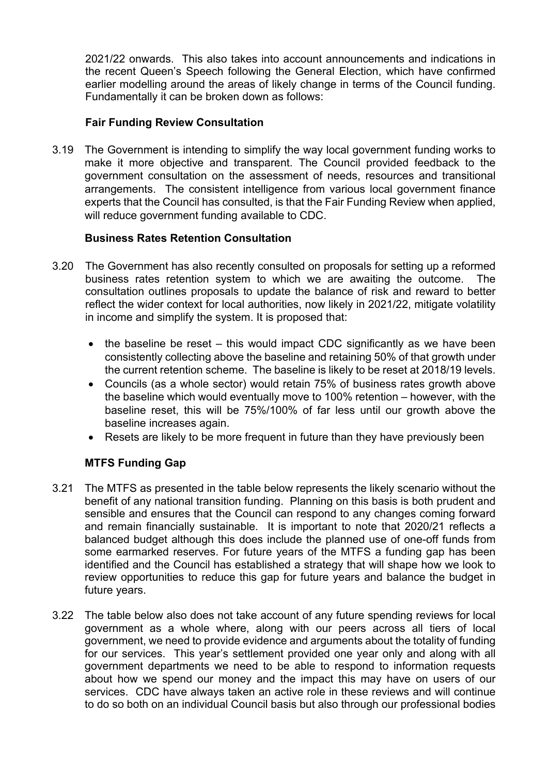2021/22 onwards. This also takes into account announcements and indications in the recent Queen's Speech following the General Election, which have confirmed earlier modelling around the areas of likely change in terms of the Council funding. Fundamentally it can be broken down as follows:

#### **Fair Funding Review Consultation**

3.19 The Government is intending to simplify the way local government funding works to make it more objective and transparent. The Council provided feedback to the government consultation on the assessment of needs, resources and transitional arrangements. The consistent intelligence from various local government finance experts that the Council has consulted, is that the Fair Funding Review when applied, will reduce government funding available to CDC.

#### **Business Rates Retention Consultation**

- 3.20 The Government has also recently consulted on proposals for setting up a reformed business rates retention system to which we are awaiting the outcome. The consultation outlines proposals to update the balance of risk and reward to better reflect the wider context for local authorities, now likely in 2021/22, mitigate volatility in income and simplify the system. It is proposed that:
	- $\bullet$  the baseline be reset this would impact CDC significantly as we have been consistently collecting above the baseline and retaining 50% of that growth under the current retention scheme. The baseline is likely to be reset at 2018/19 levels.
	- Councils (as a whole sector) would retain 75% of business rates growth above the baseline which would eventually move to 100% retention – however, with the baseline reset, this will be 75%/100% of far less until our growth above the baseline increases again.
	- Resets are likely to be more frequent in future than they have previously been

### **MTFS Funding Gap**

- 3.21 The MTFS as presented in the table below represents the likely scenario without the benefit of any national transition funding. Planning on this basis is both prudent and sensible and ensures that the Council can respond to any changes coming forward and remain financially sustainable. It is important to note that 2020/21 reflects a balanced budget although this does include the planned use of one-off funds from some earmarked reserves. For future years of the MTFS a funding gap has been identified and the Council has established a strategy that will shape how we look to review opportunities to reduce this gap for future years and balance the budget in future years.
- 3.22 The table below also does not take account of any future spending reviews for local government as a whole where, along with our peers across all tiers of local government, we need to provide evidence and arguments about the totality of funding for our services. This year's settlement provided one year only and along with all government departments we need to be able to respond to information requests about how we spend our money and the impact this may have on users of our services. CDC have always taken an active role in these reviews and will continue to do so both on an individual Council basis but also through our professional bodies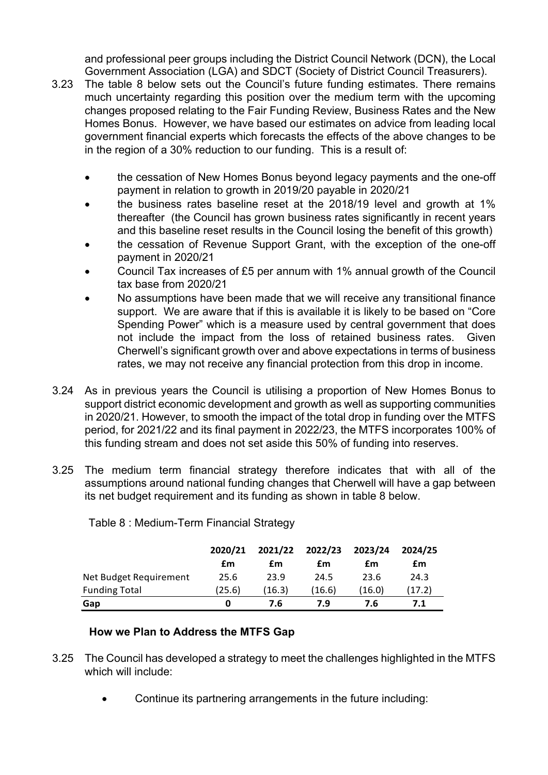and professional peer groups including the District Council Network (DCN), the Local Government Association (LGA) and SDCT (Society of District Council Treasurers).

- 3.23 The table 8 below sets out the Council's future funding estimates. There remains much uncertainty regarding this position over the medium term with the upcoming changes proposed relating to the Fair Funding Review, Business Rates and the New Homes Bonus. However, we have based our estimates on advice from leading local government financial experts which forecasts the effects of the above changes to be in the region of a 30% reduction to our funding. This is a result of:
	- the cessation of New Homes Bonus beyond legacy payments and the one-off payment in relation to growth in 2019/20 payable in 2020/21
	- the business rates baseline reset at the 2018/19 level and growth at 1% thereafter (the Council has grown business rates significantly in recent years and this baseline reset results in the Council losing the benefit of this growth)
	- the cessation of Revenue Support Grant, with the exception of the one-off payment in 2020/21
	- Council Tax increases of £5 per annum with 1% annual growth of the Council tax base from 2020/21
	- No assumptions have been made that we will receive any transitional finance support. We are aware that if this is available it is likely to be based on "Core Spending Power" which is a measure used by central government that does not include the impact from the loss of retained business rates. Given Cherwell's significant growth over and above expectations in terms of business rates, we may not receive any financial protection from this drop in income.
- 3.24 As in previous years the Council is utilising a proportion of New Homes Bonus to support district economic development and growth as well as supporting communities in 2020/21. However, to smooth the impact of the total drop in funding over the MTFS period, for 2021/22 and its final payment in 2022/23, the MTFS incorporates 100% of this funding stream and does not set aside this 50% of funding into reserves.
- 3.25 The medium term financial strategy therefore indicates that with all of the assumptions around national funding changes that Cherwell will have a gap between its net budget requirement and its funding as shown in table 8 below.

|                        | 2020/21<br>£m | 2021/22<br>£m | 2022/23<br>£m | 2023/24<br>£m | 2024/25<br>£m |
|------------------------|---------------|---------------|---------------|---------------|---------------|
| Net Budget Requirement | 25.6          | 23.9          | 24.5          | 23.6          | 24.3          |
| <b>Funding Total</b>   | (25.6)        | (16.3)        | (16.6)        | (16.0)        | (17.2)        |
| Gap                    | 0             | 7.6           | 7.9           | 7.6           | 7.1           |

Table 8 : Medium-Term Financial Strategy

### **How we Plan to Address the MTFS Gap**

- 3.25 The Council has developed a strategy to meet the challenges highlighted in the MTFS which will include:
	- Continue its partnering arrangements in the future including: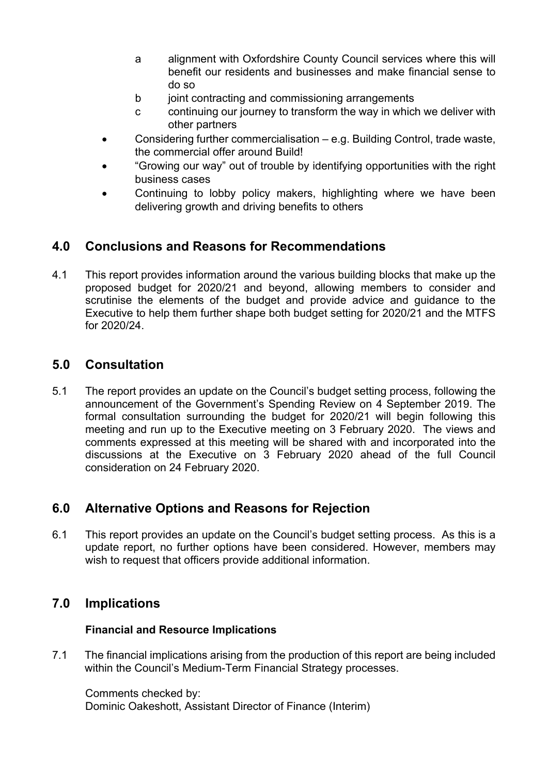- a alignment with Oxfordshire County Council services where this will benefit our residents and businesses and make financial sense to do so
- b joint contracting and commissioning arrangements
- c continuing our journey to transform the way in which we deliver with other partners
- Considering further commercialisation e.g. Building Control, trade waste, the commercial offer around Build!
- "Growing our way" out of trouble by identifying opportunities with the right business cases
- Continuing to lobby policy makers, highlighting where we have been delivering growth and driving benefits to others

### **4.0 Conclusions and Reasons for Recommendations**

4.1 This report provides information around the various building blocks that make up the proposed budget for 2020/21 and beyond, allowing members to consider and scrutinise the elements of the budget and provide advice and guidance to the Executive to help them further shape both budget setting for 2020/21 and the MTFS for 2020/24.

### **5.0 Consultation**

5.1 The report provides an update on the Council's budget setting process, following the announcement of the Government's Spending Review on 4 September 2019. The formal consultation surrounding the budget for 2020/21 will begin following this meeting and run up to the Executive meeting on 3 February 2020. The views and comments expressed at this meeting will be shared with and incorporated into the discussions at the Executive on 3 February 2020 ahead of the full Council consideration on 24 February 2020.

### **6.0 Alternative Options and Reasons for Rejection**

6.1 This report provides an update on the Council's budget setting process. As this is a update report, no further options have been considered. However, members may wish to request that officers provide additional information.

### **7.0 Implications**

### **Financial and Resource Implications**

7.1 The financial implications arising from the production of this report are being included within the Council's Medium-Term Financial Strategy processes.

Comments checked by: Dominic Oakeshott, Assistant Director of Finance (Interim)